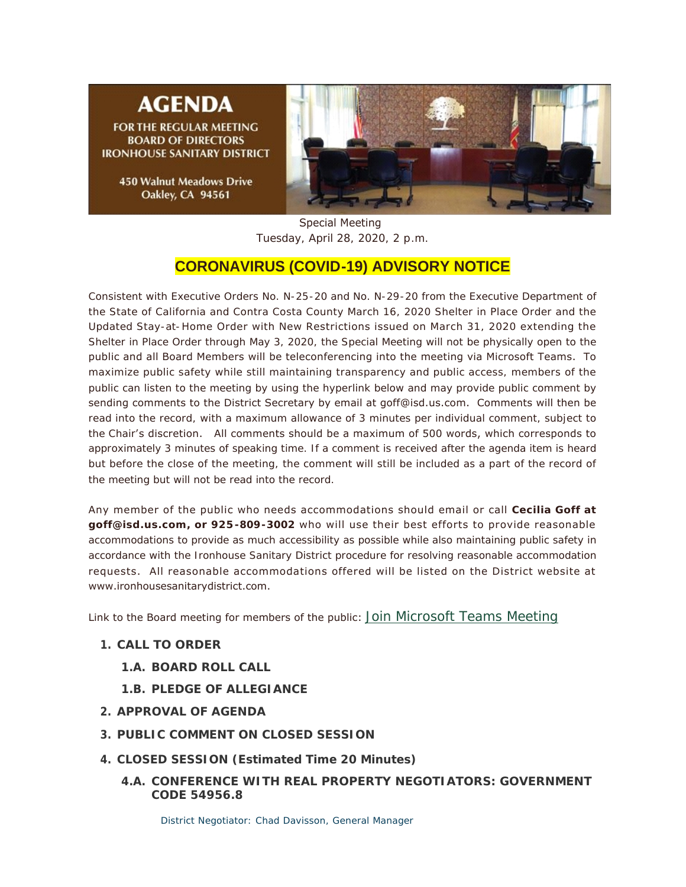# **AGENDA**

**FOR THE REGULAR MEETING BOARD OF DIRECTORS IRONHOUSE SANITARY DISTRICT** 

> **450 Walnut Meadows Drive** Oakley, CA 94561



Special Meeting Tuesday, April 28, 2020, 2 p.m.

## **CORONAVIRUS (COVID-19) ADVISORY NOTICE**

Consistent with Executive Orders No. N-25-20 and No. N-29-20 from the Executive Department of the State of California and Contra Costa County March 16, 2020 Shelter in Place Order and the Updated Stay-at-Home Order with New Restrictions issued on March 31, 2020 extending the Shelter in Place Order through May 3, 2020, the Special Meeting will not be physically open to the public and all Board Members will be teleconferencing into the meeting via Microsoft Teams. To maximize public safety while still maintaining transparency and public access, members of the public can listen to the meeting by using the hyperlink below and may provide public comment by sending comments to the District Secretary by email at goff@isd.us.com. Comments will then be read into the record, with a maximum allowance of 3 minutes per individual comment, subject to the Chair's discretion. All comments should be a maximum of 500 words, which corresponds to approximately 3 minutes of speaking time. If a comment is received after the agenda item is heard but before the close of the meeting, the comment will still be included as a part of the record of the meeting but will not be read into the record.

Any member of the public who needs accommodations should email or call **Cecilia Goff at goff@isd.us.com, or 925-809-3002** who will use their best efforts to provide reasonable accommodations to provide as much accessibility as possible while also maintaining public safety in accordance with the Ironhouse Sanitary District procedure for resolving reasonable accommodation requests. All reasonable accommodations offered will be listed on the District website at www.ironhousesanitarydistrict.com.

Link to the Board meeting for members of the public: [Join Microsoft Teams Meeting](https://teams.microsoft.com/l/meetup-join/19%3ameeting_YjQ5NTVmYWUtZGZjMC00NzA2LWJjNjktNjQ2MzAzMGIzY2Fh%40thread.v2/0?context=%7b%22Tid%22%3a%22164e15e8-e591-4ae8-b493-13de5fe90f7e%22%2c%22Oid%22%3a%22136e3b7f-83eb-440a-b193-40125f33a1e4%22%7d)

- **CALL TO ORDER 1.**
	- **BOARD ROLL CALL 1.A.**
	- **PLEDGE OF ALLEGIANCE 1.B.**
- **APPROVAL OF AGENDA 2.**
- **PUBLIC COMMENT ON CLOSED SESSION 3.**
- **CLOSED SESSION (Estimated Time 20 Minutes) 4.**
	- **CONFERENCE WITH REAL PROPERTY NEGOTIATORS: GOVERNMENT 4.A. CODE 54956.8**

District Negotiator: Chad Davisson, General Manager